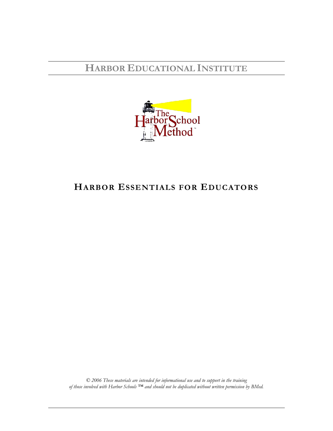**HARBOR EDUCATIONAL INSTITUTE**



## **HARBOR ESSENTIALS FOR EDUCATORS**

*© 2006 These materials are intended for informational use and to support in the training of those involved with Harbor Schools ™ and should not be duplicated without written permission by BMed.*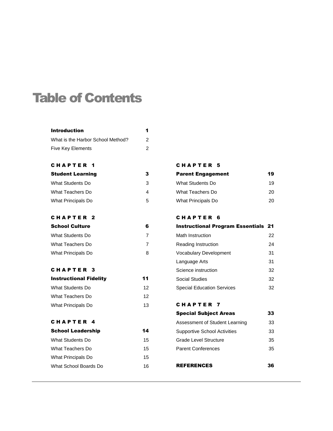# Table of Contents

| <b>Introduction</b>               | 1  |
|-----------------------------------|----|
| What is the Harbor School Method? | 2  |
| <b>Five Key Elements</b>          | 2  |
|                                   |    |
| <b>CHAPTER</b><br>- 1             |    |
| <b>Student Learning</b>           | 3  |
| What Students Do                  | 3  |
| What Teachers Do                  | 4  |
| <b>What Principals Do</b>         | 5  |
| <b>CHAPTER</b><br>- 2             |    |
| <b>School Culture</b>             | 6  |
| What Students Do                  | 7  |
| What Teachers Do                  | 7  |
| What Principals Do                | 8  |
| <b>CHAPTER</b><br>- 3             |    |
| <b>Instructional Fidelity</b>     | 11 |
| What Students Do                  | 12 |
| What Teachers Do                  | 12 |
| What Principals Do                | 13 |
|                                   |    |
| CHAPTER<br>- 4                    |    |
| <b>School Leadership</b>          | 14 |
| What Students Do                  | 15 |
| What Teachers Do                  | 15 |
| <b>What Principals Do</b>         | 15 |
| What School Boards Do             | 16 |
|                                   |    |

#### CHAPTER 5

| <b>Parent Engagement</b> | 19 |
|--------------------------|----|
| What Students Do         | 19 |
| What Teachers Do         | 20 |
| What Principals Do       | 20 |

### C H A P T E R 6

| <b>Instructional Program Essentials 21</b> |    |
|--------------------------------------------|----|
| Math Instruction                           | 22 |
| Reading Instruction                        | 24 |
| <b>Vocabulary Development</b>              | 31 |
| Language Arts                              | 31 |
| Science instruction                        | 32 |
| Social Studies                             | 32 |
| <b>Special Education Services</b>          | 32 |

### C H A P T E R 7

| <b>Special Subject Areas</b>        | 33 |
|-------------------------------------|----|
| Assessment of Student Learning      | 33 |
| <b>Supportive School Activities</b> | 33 |
| Grade Level Structure               | 35 |
| <b>Parent Conferences</b>           | 35 |
|                                     |    |

REFERENCES 36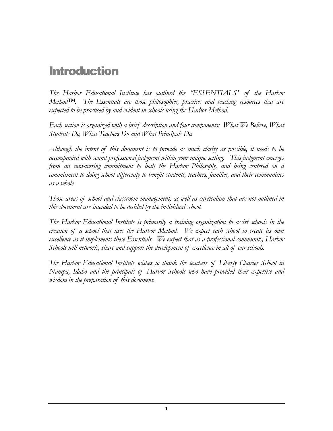# **Introduction**

*The Harbor Educational Institute has outlined the "ESSENTIALS" of the Harbor Method™. The Essentials are those philosophies, practices and teaching resources that are expected to be practiced by and evident in schools using the Harbor Method.*

*Each section is organized with a brief description and four components: What We Believe, What Students Do, What Teachers Do and What Principals Do.* 

*Although the intent of this document is to provide as much clarity as possible, it needs to be accompanied with sound professional judgment within your unique setting. This judgment emerges from an unwavering commitment to both the Harbor Philosophy and being centered on a commitment to doing school differently to benefit students, teachers, families, and their communities as a whole.* 

*Those areas of school and classroom management, as well as curriculum that are not outlined in this document are intended to be decided by the individual school.* 

*The Harbor Educational Institute is primarily a training organization to assist schools in the creation of a school that uses the Harbor Method. We expect each school to create its own excellence as it implements these Essentials. We expect that as a professional community, Harbor Schools will network, share and support the development of excellence in all of our schools.*

*The Harbor Educational Institute wishes to thank the teachers of Liberty Charter School in Nampa, Idaho and the principals of Harbor Schools who have provided their expertise and wisdom in the preparation of this document.*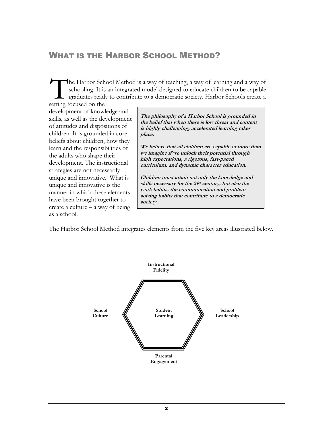### WHAT IS THE HARBOR SCHOOL METHOD?

he Harbor School Method is a way of teaching, a way of learning and a way of schooling. It is an integrated model designed to educate children to be capable graduates ready to contribute to a democratic society. Harbor Schools create a The Harbor Sch<br>
schooling. It is<br>
graduates ready<br>
setting focused on the

development of knowledge and skills, as well as the development of attitudes and dispositions of children. It is grounded in core beliefs about children, how they learn and the responsibilities of the adults who shape their development. The instructional strategies are not necessarily unique and innovative. What is unique and innovative is the manner in which these elements have been brought together to create a culture – a way of being as a school.

**The philosophy of a Harbor School is grounded in the belief that when there is low threat and content is highly challenging, accelerated learning takes place.** 

**We believe that all children are capable of more than we imagine if we unlock their potential through high expectations, a rigorous, fast-paced curriculum, and dynamic character education.**

**Children must attain not only the knowledge and skills necessary for the 21 st century, but also the work habits, the communication and problem solving habits that contribute to a democratic society.**

The Harbor School Method integrates elements from the five key areas illustrated below.

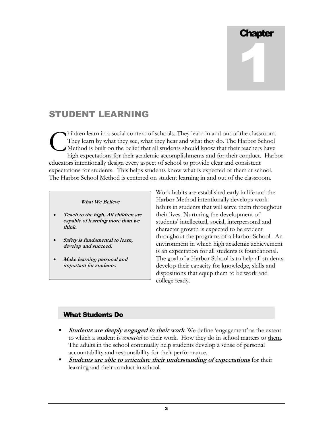# **Chapter** 1

### STUDENT LEARNING

hildren learn in a social context of schools. They learn in and out of the classroom. They learn by what they see, what they hear and what they do. The Harbor School Method is built on the belief that all students should know that their teachers have high expectations for their academic accomplishments and for their conduct. Harbor educators intentionally design every aspect of school to provide clear and consistent expectations for students. This helps students know what is expected of them at school. The Harbor School Method is centered on student learning in and out of the classroom. C

### **What We Believe**

- **Teach to the high. All children are capable of learning more than we think.**
- **Safety is fundamental to learn, develop and succeed.**
- **Make learning personal and important for students.**

Work habits are established early in life and the Harbor Method intentionally develops work habits in students that will serve them throughout their lives. Nurturing the development of students' intellectual, social, interpersonal and character growth is expected to be evident throughout the programs of a Harbor School. An environment in which high academic achievement is an expectation for all students is foundational. The goal of a Harbor School is to help all students develop their capacity for knowledge, skills and dispositions that equip them to be work and college ready.

### What Students Do

- **Students are deeply engaged in their work.** We define 'engagement' as the extent to which a student is *connected* to their work. How they do in school matters to them. The adults in the school continually help students develop a sense of personal accountability and responsibility for their performance.
- **Students are able to articulate their understanding of expectations** for their learning and their conduct in school.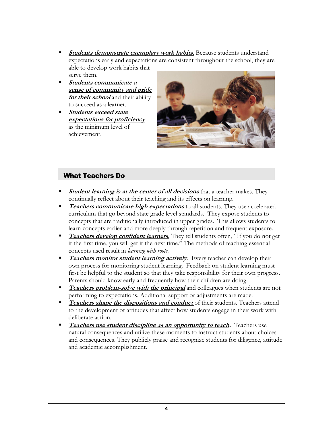- **Students demonstrate exemplary work habits**. Because students understand expectations early and expectations are consistent throughout the school, they are able to develop work habits that serve them.
- **Students communicate a sense of community and pride for their school** and their ability to succeed as a learner.
- **Students exceed state expectations for proficiency**  as the minimum level of achievement.



### What Teachers Do

- **Student learning is at the center of all decisions** that a teacher makes. They continually reflect about their teaching and its effects on learning.
- **Teachers communicate high expectations** to all students. They use accelerated curriculum that go beyond state grade level standards. They expose students to concepts that are traditionally introduced in upper grades. This allows students to learn concepts earlier and more deeply through repetition and frequent exposure.
- **Teachers develop confident learners**. They tell students often, "If you do not get it the first time, you will get it the next time." The methods of teaching essential concepts used result in *learning with roots.*
- **Teachers monitor student learning actively.** Every teacher can develop their own process for monitoring student learning. Feedback on student learning must first be helpful to the student so that they take responsibility for their own progress. Parents should know early and frequently how their children are doing.
- **Teachers problem-solve with the principal** and colleagues when students are not performing to expectations. Additional support or adjustments are made.
- **Teachers shape the dispositions and conduct** of their students. Teachers attend to the development of attitudes that affect how students engage in their work with deliberate action.
- **Teachers use student discipline as an opportunity to teach.** Teachers use natural consequences and utilize these moments to instruct students about choices and consequences. They publicly praise and recognize students for diligence, attitude and academic accomplishment.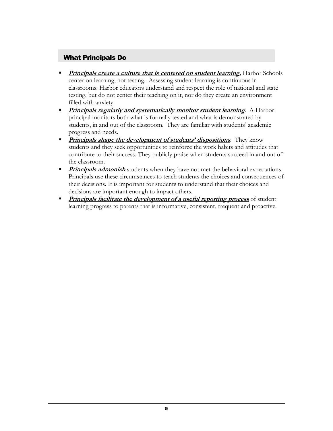### What Principals Do

- **Principals create a culture that is centered on student learning.** Harbor Schools center on learning, not testing. Assessing student learning is continuous in classrooms. Harbor educators understand and respect the role of national and state testing, but do not center their teaching on it, nor do they create an environment filled with anxiety.
- **Principals regularly and systematically monitor student learning.** A Harbor principal monitors both what is formally tested and what is demonstrated by students, in and out of the classroom. They are familiar with students' academic progress and needs.
- **Principals shape the development of students' dispositions**. They know students and they seek opportunities to reinforce the work habits and attitudes that contribute to their success. They publicly praise when students succeed in and out of the classroom.
- **Principals admonish** students when they have not met the behavioral expectations. Principals use these circumstances to teach students the choices and consequences of their decisions. It is important for students to understand that their choices and decisions are important enough to impact others.
- **Principals facilitate the development of a useful reporting process** of student learning progress to parents that is informative, consistent, frequent and proactive.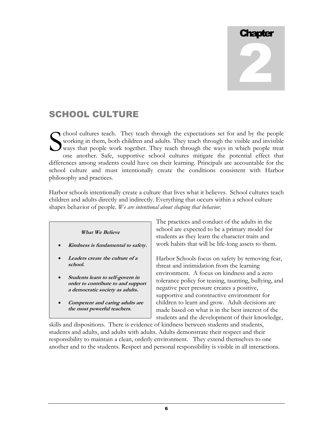# **Chapter** 2

## SCHOOL CULTURE

chool cultures teach. They teach through the expectations set for and by the people working in them, both children and adults. They teach through the visible and invisible ways that people work together. They teach through the ways in which people treat one another. Safe, supportive school cultures mitigate the potential effect that differences among students could have on their learning. Principals are accountable for the school culture and must intentionally create the conditions consistent with Harbor philosophy and practices. S

Harbor schools intentionally create a culture that lives what it believes. School cultures teach children and adults directly and indirectly. Everything that occurs within a school culture shapes behavior of people. *We are intentional about shaping that behavior.*



- **Students learn to self-govern in order to contribute to and support a democratic society as adults.**
- **Competent and caring adults are the most powerful teachers.**

The practices and conduct of the adults in the school are expected to be a primary model for students as they learn the character traits and work habits that will be life-long assets to them.

Harbor Schools focus on safety by removing fear, threat and intimidation from the learning environment. A focus on kindness and a zero tolerance policy for teasing, taunting, bullying, and negative peer pressure creates a positive, supportive and constructive environment for children to learn and grow. Adult decisions are made based on what is in the best interest of the students and the development of their knowledge,

skills and dispositions. There is evidence of kindness between students and students, students and adults, and adults with adults. Adults demonstrate their respect and their responsibility to maintain a clean, orderly environment. They extend themselves to one another and to the students. Respect and personal responsibility is visible in all interactions.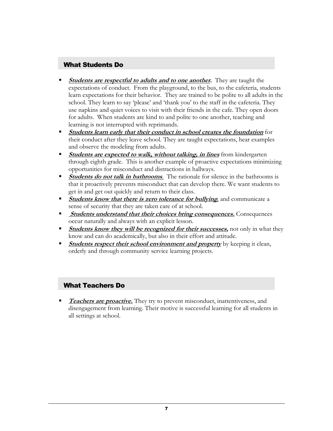### What Students Do

- **Students are respectful to adults and to one another.** They are taught the expectations of conduct. From the playground, to the bus, to the cafeteria, students learn expectations for their behavior. They are trained to be polite to all adults in the school. They learn to say 'please' and 'thank you' to the staff in the cafeteria. They use napkins and quiet voices to visit with their friends in the cafe. They open doors for adults. When students are kind to and polite to one another, teaching and learning is not interrupted with reprimands.
- **Students learn early that their conduct in school creates the foundation** for their conduct after they leave school. They are taught expectations, hear examples and observe the modeling from adults.
- **Students are expected to walk, without talking, in lines** from kindergarten through eighth grade. This is another example of proactive expectations minimizing opportunities for misconduct and distractions in hallways.
- **Students do not talk in bathrooms**. The rationale for silence in the bathrooms is that it proactively prevents misconduct that can develop there. We want students to get in and get out quickly and return to their class.
- **Students know that there is zero tolerance for bullying,** and communicate a sense of security that they are taken care of at school.
- **Students understand that their choices bring consequences.** Consequences occur naturally and always with an explicit lesson.
- **Students know they will be recognized for their successes,** not only in what they know and can do academically, but also in their effort and attitude.
- **Students respect their school environment and property** by keeping it clean, orderly and through community service learning projects.

### What Teachers Do

 **Teachers are proactive.** They try to prevent misconduct, inattentiveness, and disengagement from learning. Their motive is successful learning for all students in all settings at school.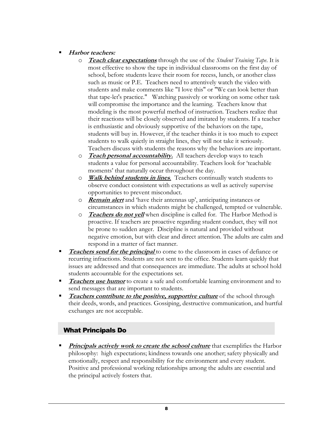### **Harbor teachers:**

- o **Teach clear expectations** through the use of the *Student Training Tape*. It is most effective to show the tape in individual classrooms on the first day of school, before students leave their room for recess, lunch, or another class such as music or P.E. Teachers need to attentively watch the video with students and make comments like "I love this" or "We can look better than that tape-let's practice." Watching passively or working on some other task will compromise the importance and the learning. Teachers know that modeling is the most powerful method of instruction. Teachers realize that their reactions will be closely observed and imitated by students. If a teacher is enthusiastic and obviously supportive of the behaviors on the tape, students will buy in. However, if the teacher thinks it is too much to expect students to walk quietly in straight lines, they will not take it seriously. Teachers discuss with students the reasons why the behaviors are important.
- o **Teach personal accountability.** All teachers develop ways to teach students a value for personal accountability. Teachers look for 'teachable moments' that naturally occur throughout the day.
- o **Walk behind students in lines**. Teachers continually watch students to observe conduct consistent with expectations as well as actively supervise opportunities to prevent misconduct.
- o **Remain alert** and ‗have their antennas up', anticipating instances or circumstances in which students might be challenged, tempted or vulnerable.
- o **Teachers do not yell** when discipline is called for. The Harbor Method is proactive. If teachers are proactive regarding student conduct, they will not be prone to sudden anger. Discipline is natural and provided without negative emotion, but with clear and direct attention. The adults are calm and respond in a matter of fact manner.
- **Teachers send for the principal** to come to the classroom in cases of defiance or recurring infractions. Students are not sent to the office. Students learn quickly that issues are addressed and that consequences are immediate. The adults at school hold students accountable for the expectations set.
- **Teachers use humor** to create a safe and comfortable learning environment and to send messages that are important to students.
- **Teachers contribute to the positive, supportive culture** of the school through their deeds, words, and practices. Gossiping, destructive communication, and hurtful exchanges are not acceptable.

### What Principals Do

**Principals actively work to create the school culture** that exemplifies the Harbor philosophy: high expectations; kindness towards one another; safety physically and emotionally, respect and responsibility for the environment and every student. Positive and professional working relationships among the adults are essential and the principal actively fosters that.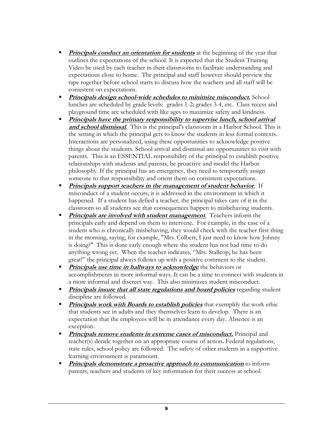- **Principals conduct an orientation for students** at the beginning of the year that outlines the expectations of the school. It is expected that the Student Training Video be used by each teacher in their classrooms to facilitate understanding and expectations close to home. The principal and staff however should preview the tape together before school starts to discuss how the teachers and all staff will be consistent on expectations.
- **Principals design school-wide schedules to minimize misconduct.** School lunches are scheduled by grade levels: grades 1-2; grades 3-4, etc. Class recess and playground time are scheduled with like ages to maximize safety and kindness.
- **Principals have the primary responsibility to supervise lunch, school arrival and school dismissal**. This is the principal's classroom in a Harbor School. This is the setting in which the principal gets to know the students in less formal contexts. Interactions are personalized, using these opportunities to acknowledge positive things about the students. School arrival and dismissal are opportunities to visit with parents. This is an ESSENTIAL responsibility of the principal to establish positive relationships with students and parents, be proactive and model the Harbor philosophy. If the principal has an emergency, they need to temporarily assign someone to that responsibility and orient them on consistent expectations.
- **Principals support teachers in the management of student behavior.** If misconduct of a student occurs, it is addressed in the environment in which it happened. If a student has defied a teacher, the principal takes care of it in the classroom so all students see that consequences happen to misbehaving students.
- **Principals are involved with student management**. Teachers inform the principals early and depend on them to intervene. For example, in the case of a student who is chronically misbehaving, they would check with the teacher first thing in the morning, saying, for example, "Mrs. Colbert, I just need to know how Johnny is doing?" This is done early enough where the student has not had time to do anything wrong yet. When the teacher indicates, "Mrs. Stallcop, he has been great!‖ the principal always follows up with a positive comment to the student.
- **Principals use time in hallways to acknowledge** the behaviors or accomplishments in more informal ways. It can be a time to connect with students in a more informal and discreet way. This also minimizes student misconduct.
- **Principals insure that all state regulations and board policies** regarding student discipline are followed.
- **Principals work with Boards to establish policies** that exemplify the work ethic that students see in adults and they themselves learn to develop. There is an expectation that the employees will be in attendance every day. Absence is an exception.
- **Principals remove students in extreme cases of misconduct.** Principal and teacher(s) decide together on an appropriate course of action**.** Federal regulations, state rules, school policy are followed. The safety of other students in a supportive learning environment is paramount.
- **Principals demonstrate a proactive approach to communication** to inform parents, teachers and students of key information for their success at school.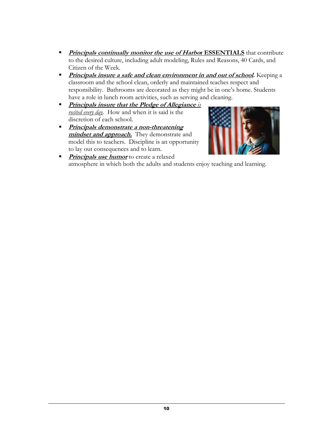- **Principals continually monitor the use of Harbor ESSENTIALS** that contribute to the desired culture, including adult modeling, Rules and Reasons, 40 Cards, and Citizen of the Week.
- **Principals insure a safe and clean environment in and out of school.** Keeping a classroom and the school clean, orderly and maintained teaches respect and responsibility. Bathrooms are decorated as they might be in one's home. Students have a role in lunch room activities, such as serving and cleaning.
- **Principals insure that the Pledge of Allegiance** *is recited every day.* How and when it is said is the discretion of each school.
- **Principals demonstrate a non-threatening**  mindset and approach. They demonstrate and model this to teachers. Discipline is an opportunity to lay out consequences and to learn.



**Principals use humor** to create a relaxed atmosphere in which both the adults and students enjoy teaching and learning.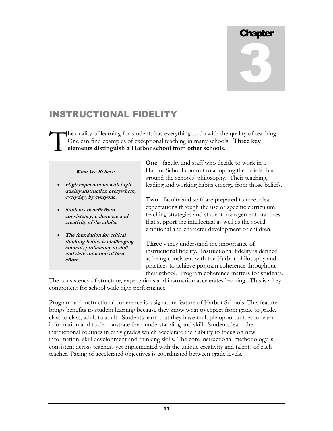# **Chapter** 3

# INSTRUCTIONAL FIDELITY

he quality of learning for students has everything to do with the quality of teaching. One can find examples of exceptional teaching in many schools. **Three key elements distinguish a Harbor school from other schools**. T

#### **What We Believe**

- **High expectations with high quality instruction everywhere, everyday, by everyone.**
- **Students benefit from consistency, coherence and creativity of the adults.**
- **The foundation for critical thinking habits is challenging content, proficiency in skill and determination of best effort.**

**One** - faculty and staff who decide to work in a Harbor School commit to adopting the beliefs that ground the schools' philosophy. Their teaching, leading and working habits emerge from those beliefs.

**Two** - faculty and staff are prepared to meet clear expectations through the use of specific curriculum, teaching strategies and student management practices that support the intellectual as well as the social, emotional and character development of children.

**Three** - they understand the importance of instructional fidelity. Instructional fidelity is defined as being consistent with the Harbor philosophy and practices to achieve program coherence throughout their school. Program coherence matters for students.

The consistency of structure, expectations and instruction accelerates learning. This is a key component for school wide high performance.

Program and instructional coherence is a signature feature of Harbor Schools. This feature brings benefits to student learning because they know what to expect from grade to grade, class to class, adult to adult. Students learn that they have multiple opportunities to learn information and to demonstrate their understanding and skill. Students learn the instructional routines in early grades which accelerate their ability to focus on new information, skill development and thinking skills. The core instructional methodology is consistent across teachers yet implemented with the unique creativity and talents of each teacher. Pacing of accelerated objectives is coordinated between grade levels.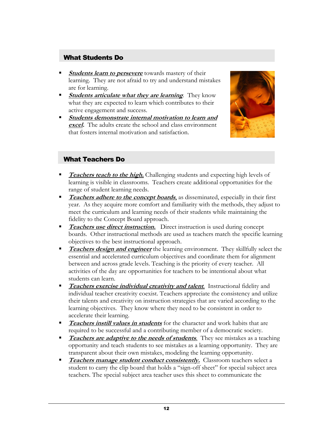### What Students Do

- **Students learn to persevere** towards mastery of their learning. They are not afraid to try and understand mistakes are for learning.
- **Students articulate what they are learning**. They know what they are expected to learn which contributes to their active engagement and success.
- **Students demonstrate internal motivation to learn and excel.** The adults create the school and class environment that fosters internal motivation and satisfaction.



### What Teachers Do

- **Teachers teach to the high.** Challenging students and expecting high levels of learning is visible in classrooms. Teachers create additional opportunities for the range of student learning needs.
- **Teachers adhere to the concept boards**, as disseminated, especially in their first year. As they acquire more comfort and familiarity with the methods, they adjust to meet the curriculum and learning needs of their students while maintaining the fidelity to the Concept Board approach.
- **Teachers use direct instruction.** Direct instruction is used during concept boards. Other instructional methods are used as teachers match the specific learning objectives to the best instructional approach.
- **Teachers design and engineer** the learning environment. They skillfully select the essential and accelerated curriculum objectives and coordinate them for alignment between and across grade levels. Teaching is the priority of every teacher. All activities of the day are opportunities for teachers to be intentional about what students can learn.
- **Teachers exercise individual creativity and talent**. Instructional fidelity and individual teacher creativity coexist. Teachers appreciate the consistency and utilize their talents and creativity on instruction strategies that are varied according to the learning objectives. They know where they need to be consistent in order to accelerate their learning.
- **Teachers instill values in students** for the character and work habits that are required to be successful and a contributing member of a democratic society.
- **Teachers are adaptive to the needs of students**. They see mistakes as a teaching opportunity and teach students to see mistakes as a learning opportunity. They are transparent about their own mistakes, modeling the learning opportunity.
- **Teachers manage student conduct consistently.** Classroom teachers select a student to carry the clip board that holds a "sign-off sheet" for special subject area teachers. The special subject area teacher uses this sheet to communicate the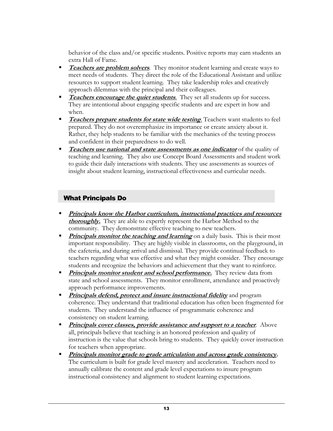behavior of the class and/or specific students. Positive reports may earn students an extra Hall of Fame.

- **Teachers are problem solvers**. They monitor student learning and create ways to meet needs of students. They direct the role of the Educational Assistant and utilize resources to support student learning. They take leadership roles and creatively approach dilemmas with the principal and their colleagues.
- **Teachers encourage the quiet students**. They set all students up for success. They are intentional about engaging specific students and are expert in how and when.
- **Teachers prepare students for state wide testing**. Teachers want students to feel prepared. They do not overemphasize its importance or create anxiety about it. Rather, they help students to be familiar with the mechanics of the testing process and confident in their preparedness to do well.
- **Teachers use national and state assessments as one indicator** of the quality of teaching and learning. They also use Concept Board Assessments and student work to guide their daily interactions with students. They use assessments as sources of insight about student learning, instructional effectiveness and curricular needs.

### What Principals Do

- **Principals know the Harbor curriculum, instructional practices and resources thoroughly.** They are able to expertly represent the Harbor Method to the community. They demonstrate effective teaching to new teachers.
- **Principals monitor the teaching and learning** on a daily basis. This is their most important responsibility. They are highly visible in classrooms, on the playground, in the cafeteria, and during arrival and dismissal. They provide continual feedback to teachers regarding what was effective and what they might consider. They encourage students and recognize the behaviors and achievement that they want to reinforce.
- **Principals monitor student and school performance.** They review data from state and school assessments. They monitor enrollment, attendance and proactively approach performance improvements.
- **Principals defend, protect and insure instructional fidelity** and program coherence. They understand that traditional education has often been fragmented for students. They understand the influence of programmatic coherence and consistency on student learning.
- **Principals cover classes, provide assistance and support to a teacher.** Above all, principals believe that teaching is an honored profession and quality of instruction is the value that schools bring to students. They quickly cover instruction for teachers when appropriate.
- **Principals monitor grade to grade articulation and across grade consistency.** The curriculum is built for grade level mastery and acceleration. Teachers need to annually calibrate the content and grade level expectations to insure program instructional consistency and alignment to student learning expectations.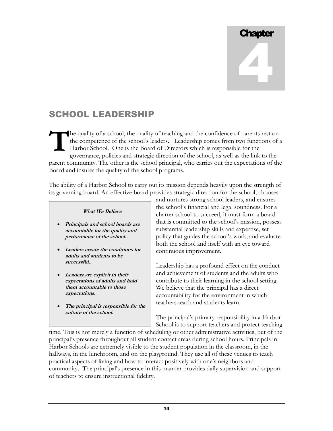# **Chapter** 4

## SCHOOL LEADERSHIP

he quality of a school, the quality of teaching and the confidence of parents rest on the competence of the school's leaders**.** Leadership comes from two functions of a Harbor School. One is the Board of Directors which is responsible for the governance, policies and strategic direction of the school, as well as the link to the parent community. The other is the school principal, who carries out the expectations of the Board and insures the quality of the school programs. **T**

The ability of a Harbor School to carry out its mission depends heavily upon the strength of its governing board. An effective board provides strategic direction for the school, chooses

### **What We Believe**

- **Principals and school boards are accountable for the quality and performance of the school..**
- **Leaders create the conditions for adults and students to be successful..**
- **Leaders are explicit in their expectations of adults and hold them accountable to those expectations.**
- **The principal is responsible for the culture of the school.**

and nurtures strong school leaders, and ensures the school's financial and legal soundness. For a charter school to succeed, it must form a board that is committed to the school's mission, possess substantial leadership skills and expertise, set policy that guides the school's work, and evaluate both the school and itself with an eye toward continuous improvement.

Leadership has a profound effect on the conduct and achievement of students and the adults who contribute to their learning in the school setting. We believe that the principal has a direct accountability for the environment in which teachers teach and students learn.

The principal's primary responsibility in a Harbor School is to support teachers and protect teaching

time. This is not merely a function of scheduling or other administrative activities, but of the principal's presence throughout all student contact areas during school hours. Principals in Harbor Schools are extremely visible to the student population in the classroom, in the hallways, in the lunchroom, and on the playground. They use all of these venues to teach practical aspects of living and how to interact positively with one's neighbors and community. The principal's presence in this manner provides daily supervision and support of teachers to ensure instructional fidelity.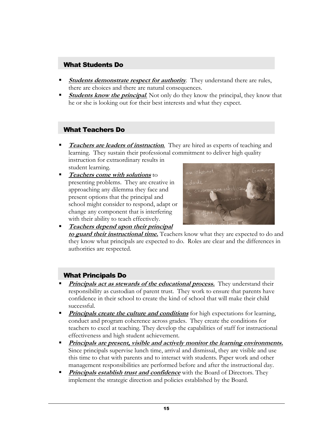### What Students Do

- **Students demonstrate respect for authority**. They understand there are rules, there are choices and there are natural consequences.
- **Students know the principal.** Not only do they know the principal, they know that he or she is looking out for their best interests and what they expect.

### What Teachers Do

- **Teachers are leaders of instruction**. They are hired as experts of teaching and learning. They sustain their professional commitment to deliver high quality instruction for extraordinary results in student learning.
- **Teachers come with solutions** to presenting problems. They are creative in approaching any dilemma they face and present options that the principal and school might consider to respond, adapt or change any component that is interfering with their ability to teach effectively.



**Teachers depend upon their principal to guard their instructional time.** Teachers know what they are expected to do and they know what principals are expected to do. Roles are clear and the differences in authorities are respected.

### What Principals Do

- **Principals act as stewards of the educational process.** They understand their responsibility as custodian of parent trust. They work to ensure that parents have confidence in their school to create the kind of school that will make their child successful.
- **Principals create the culture and conditions** for high expectations for learning, conduct and program coherence across grades. They create the conditions for teachers to excel at teaching. They develop the capabilities of staff for instructional effectiveness and high student achievement.
- **Principals are present, visible and actively monitor the learning environments.** Since principals supervise lunch time, arrival and dismissal, they are visible and use this time to chat with parents and to interact with students. Paper work and other management responsibilities are performed before and after the instructional day.
- **Principals establish trust and confidence** with the Board of Directors. They implement the strategic direction and policies established by the Board.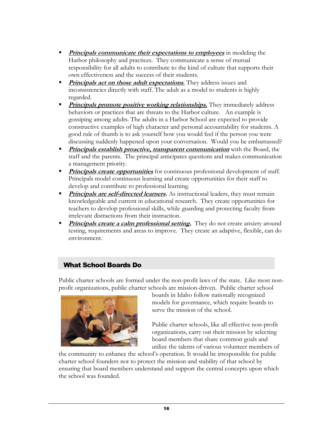- **Principals communicate their expectations to employees** in modeling the Harbor philosophy and practices. They communicate a sense of mutual responsibility for all adults to contribute to the kind of culture that supports their own effectiveness and the success of their students.
- **Principals act on those adult expectations**. They address issues and inconsistencies directly with staff. The adult as a model to students is highly regarded.
- **Principals promote positive working relationships.** They immediately address behaviors or practices that are threats to the Harbor culture. An example is gossiping among adults. The adults in a Harbor School are expected to provide constructive examples of high character and personal accountability for students. A good rule of thumb is to ask yourself how you would feel if the person you were discussing suddenly happened upon your conversation. Would you be embarrassed?
- **Principals establish proactive, transparent communication** with the Board, the staff and the parents. The principal anticipates questions and makes communication a management priority.
- **Principals create opportunities** for continuous professional development of staff. Principals model continuous learning and create opportunities for their staff to develop and contribute to professional learning.
- **Principals are self-directed learners.** As instructional leaders, they must remain knowledgeable and current in educational research. They create opportunities for teachers to develop professional skills, while guarding and protecting faculty from irrelevant distractions from their instruction.
- **Principals create a calm professional setting.** They do not create anxiety around testing, requirements and areas to improve. They create an adaptive, flexible, can do environment.

### What School Boards Do

Public charter schools are formed under the non-profit laws of the state. Like most nonprofit organizations, public charter schools are mission-driven. Public charter school



boards in Idaho follow nationally recognized models for governance, which require boards to serve the mission of the school.

Public charter schools, like all effective non-profit organizations, carry out their mission by selecting board members that share common goals and utilize the talents of various volunteer members of

the community to enhance the school's operation. It would be irresponsible for public charter school founders not to protect the mission and stability of that school by ensuring that board members understand and support the central concepts upon which the school was founded.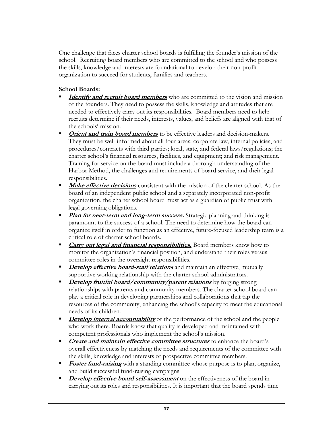One challenge that faces charter school boards is fulfilling the founder's mission of the school. Recruiting board members who are committed to the school and who possess the skills, knowledge and interests are foundational to develop their non-profit organization to succeed for students, families and teachers.

### **School Boards:**

- **Identify and recruit board members** who are committed to the vision and mission of the founders. They need to possess the skills, knowledge and attitudes that are needed to effectively carry out its responsibilities*.* Board members need to help recruits determine if their needs, interests, values, and beliefs are aligned with that of the schools' mission.
- **Citibularies 1** Orient and train board members to be effective leaders and decision-makers. They must be well-informed about all four areas: corporate law, internal policies, and procedures/contracts with third parties; local, state, and federal laws/regulations; the charter school's financial resources, facilities, and equipment; and risk management. Training for service on the board must include a thorough understanding of the Harbor Method, the challenges and requirements of board service, and their legal responsibilities.
- **Make effective decisions** consistent with the mission of the charter school. As the board of an independent public school and a separately incorporated non-profit organization, the charter school board must act as a guardian of public trust with legal governing obligations.
- **Plan for near-term and long-term success.** Strategic planning and thinking is paramount to the success of a school. The need to determine how the board can organize itself in order to function as an effective, future-focused leadership team is a critical role of charter school boards.
- **Carry out legal and financial responsibilities.** Board members know how to monitor the organization's financial position, and understand their roles versus committee roles in the oversight responsibilities.
- **Develop effective board-staff relations** and maintain an effective, mutually supportive working relationship with the charter school administrators*.*
- **Develop fruitful board/community/parent relations** by forging strong relationships with parents and community members. The charter school board can play a critical role in developing partnerships and collaborations that tap the resources of the community, enhancing the school's capacity to meet the educational needs of its children.
- **Develop internal accountability** of the performance of the school and the people who work there. Boards know that quality is developed and maintained with competent professionals who implement the school's mission.
- **Create and maintain effective committee structures** to enhance the board's overall effectiveness by matching the needs and requirements of the committee with the skills, knowledge and interests of prospective committee members.
- **Foster fund-raising** with a standing committee whose purpose is to plan, organize, and build successful fund-raising campaigns.
- **Develop effective board self-assessment** on the effectiveness of the board in carrying out its roles and responsibilities. It is important that the board spends time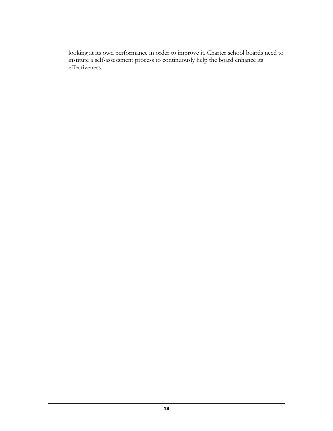looking at its own performance in order to improve it. Charter school boards need to institute a self-assessment process to continuously help the board enhance its effectiveness.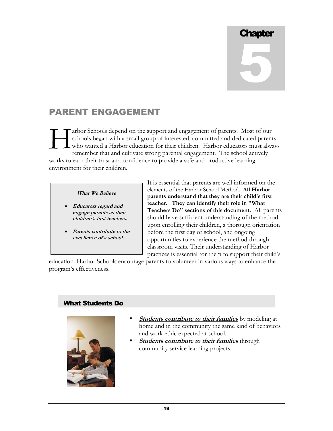# **Chapter** 5

## PARENT ENGAGEMENT

arbor Schools depend on the support and engagement of parents. Most of our schools began with a small group of interested, committed and dedicated parents who wanted a Harbor education for their children. Harbor educators must always remember that and cultivate strong parental engagement. The school actively works to earn their trust and confidence to provide a safe and productive learning environment for their children. H

### **What We Believe**

- **Educators regard and engage parents as their children's first teachers.**
- **Parents contribute to the excellence of a school.**

It is essential that parents are well informed on the elements of the Harbor School Method. **All Harbor parents understand that they are their child's first teacher. They can identify their role in "What Teachers Do" sections of this document.** All parents should have sufficient understanding of the method upon enrolling their children, a thorough orientation before the first day of school, and ongoing opportunities to experience the method through classroom visits. Their understanding of Harbor practices is essential for them to support their child's

education. Harbor Schools encourage parents to volunteer in various ways to enhance the program's effectiveness.

### What Students Do



- **Students contribute to their families** by modeling at home and in the community the same kind of behaviors and work ethic expected at school.
- **Students contribute to their families** through community service learning projects.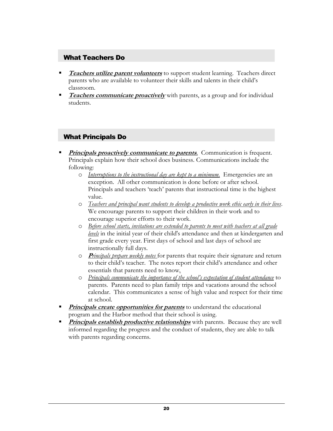### What Teachers Do

- **Teachers utilize parent volunteers** to support student learning. Teachers direct parents who are available to volunteer their skills and talents in their child's classroom.
- **Teachers communicate proactively** with parents, as a group and for individual students.

### What Principals Do

- **Principals proactively communicate to parents**. Communication is frequent. Principals explain how their school does business. Communications include the following:
	- o *Interruptions to the instructional day are kept to a minimum.* Emergencies are an exception. All other communication is done before or after school. Principals and teachers 'teach' parents that instructional time is the highest value.
	- o *Teachers and principal want students to develop a productive work ethic early in their lives*. We encourage parents to support their children in their work and to encourage superior efforts to their work.
	- o *Before school starts, invitations are extended to parents to meet with teachers at all grade levels* in the initial year of their child's attendance and then at kindergarten and first grade every year. First days of school and last days of school are instructionally full days.
	- o **<sup>P</sup>***rincipals prepare weekly notes* for parents that require their signature and return to their child's teacher. The notes report their child's attendance and other essentials that parents need to know*.*
	- o *Principals communicate the importance of the school's expectation of student attendance* to parents. Parents need to plan family trips and vacations around the school calendar. This communicates a sense of high value and respect for their time at school.
- **Principals create opportunities for parents** to understand the educational program and the Harbor method that their school is using.
- **Principals establish productive relationships** with parents. Because they are well informed regarding the progress and the conduct of students, they are able to talk with parents regarding concerns.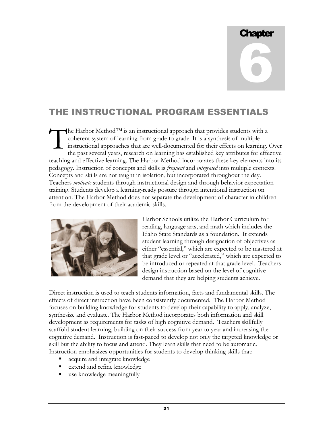# Chapter 6

# THE INSTRUCTIONAL PROGRAM ESSENTIALS

he Harbor Method*™* is an instructional approach that provides students with a coherent system of learning from grade to grade. It is a synthesis of multiple instructional approaches that are well-documented for their effects on learning. Over the past several years, research on learning has established key attributes for effective teaching and effective learning. The Harbor Method incorporates these key elements into its pedagogy. Instruction of concepts and skills is *frequent* and *integrated* into multiple contexts. Concepts and skills are not taught in isolation, but incorporated throughout the day. Teachers *motivate* students through instructional design and through behavior expectation training. Students develop a learning-ready posture through intentional instruction on attention. The Harbor Method does not separate the development of character in children from the development of their academic skills. T



Harbor Schools utilize the Harbor Curriculum for reading, language arts, and math which includes the Idaho State Standards as a foundation. It extends student learning through designation of objectives as either "essential," which are expected to be mastered at that grade level or "accelerated," which are expected to be introduced or repeated at that grade level. Teachers design instruction based on the level of cognitive demand that they are helping students achieve.

Direct instruction is used to teach students information, facts and fundamental skills. The effects of direct instruction have been consistently documented. The Harbor Method focuses on building knowledge for students to develop their capability to apply, analyze, synthesize and evaluate. The Harbor Method incorporates both information and skill development as requirements for tasks of high cognitive demand. Teachers skillfully scaffold student learning, building on their success from year to year and increasing the cognitive demand. Instruction is fast-paced to develop not only the targeted knowledge or skill but the ability to focus and attend. They learn skills that need to be automatic. Instruction emphasizes opportunities for students to develop thinking skills that:

- acquire and integrate knowledge
- **EXTEND 2** extend and refine knowledge
- use knowledge meaningfully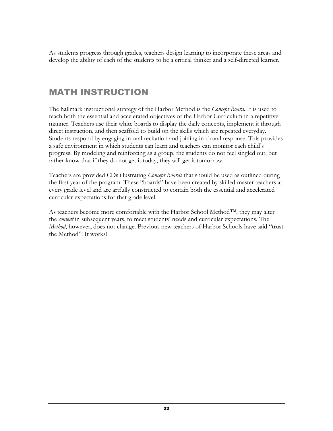As students progress through grades, teachers design learning to incorporate these areas and develop the ability of each of the students to be a critical thinker and a self-directed learner.

## MATH INSTRUCTION

The hallmark instructional strategy of the Harbor Method is the *Concept Board*. It is used to teach both the essential and accelerated objectives of the Harbor Curriculum in a repetitive manner. Teachers use their white boards to display the daily concepts, implement it through direct instruction, and then scaffold to build on the skills which are repeated everyday. Students respond by engaging in oral recitation and joining in choral response. This provides a safe environment in which students can learn and teachers can monitor each child's progress. By modeling and reinforcing as a group, the students do not feel singled out, but rather know that if they do not get it today, they will get it tomorrow.

Teachers are provided CDs illustrating *Concept Boards* that should be used as outlined during the first year of the program. These "boards" have been created by skilled master teachers at every grade level and are artfully constructed to contain both the essential and accelerated curricular expectations for that grade level.

As teachers become more comfortable with the Harbor School Method*™*, they may alter the *content* in subsequent years, to meet students' needs and curricular expectations. The *Method*, however, does not change. Previous new teachers of Harbor Schools have said "trust the Method"! It works!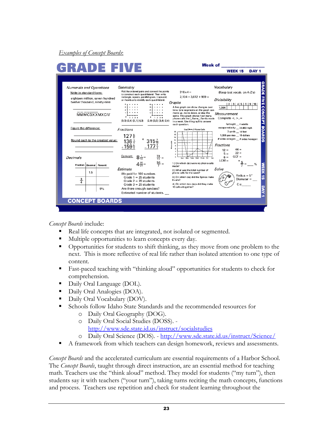### *Examples of Concept Boards*:

|                                                           |                  |                                                     | <b>GRADE FIVE</b>                                                                                                                                                                                      |                                                                                                                                                                                                                                        |                                                                                                                                  | <b>WEEK 15</b>                                                       | DAY <sub>1</sub> |
|-----------------------------------------------------------|------------------|-----------------------------------------------------|--------------------------------------------------------------------------------------------------------------------------------------------------------------------------------------------------------|----------------------------------------------------------------------------------------------------------------------------------------------------------------------------------------------------------------------------------------|----------------------------------------------------------------------------------------------------------------------------------|----------------------------------------------------------------------|------------------|
| <b>Numerals and Operations</b><br>Write in standard form: |                  | eighteen million, seven hundred                     | Geometry<br>Plot the ordered pairs and connect the points<br>to construct each quadrilateral. Then write<br>rectangle, square, parallelogram, trapezoid,<br>or rhombus to identify each quadrilateral. | $316x4 =$<br>$2,104 + 3,612 + 969 =$                                                                                                                                                                                                   | Vocabulary<br>(Keep test vocab. on A-Z's)<br><b>Divisibility</b>                                                                 |                                                                      |                  |
|                                                           |                  | twelve thousand, ninety-nine<br><b>MMMCDXXMXCIV</b> | $\cdots$<br><br>$\cdots$<br>2 <sup>1</sup><br>1, 2, 3, 4<br>$0$ 1 2 3 4<br>$(0,0)$ $(2,4)$ $(3,1)$ $(4,3)$<br>$(2.0)$ $(3.0)$ $(3.4)$ $(2.4)$                                                          | Graphs<br>A line graph can show changes over<br>time. Line segments on the graph can<br>move up, move down, or stay the<br>same. This graph shows how many<br>phone calls the (Name) family made<br>in a week. Use the graph to answer | 1,004<br>Measurement<br>Complete $\lt$ , $\gt$ , $=$                                                                             | $2 \mid 3 \mid 4 \mid 5 \mid 6 \mid 9 \mid 10$<br>fortnight _4 weeks |                  |
| Figure the difference:                                    |                  | Round each to the greatest value:                   | Fractions<br>$127\frac{5}{6}$<br>$*315\frac{7}{15}$<br>$136\frac{1}{6}$<br>$-177\frac{6}{7}$<br>$+159\frac{5}{6}$                                                                                      | each question.<br>The (Name )' Phone Calls<br>18<br>16<br>14<br>12<br>Phone colla<br>10<br>8<br>8<br>4                                                                                                                                 | escape velocity __ 24,800 mph<br>1,000 pennies __ 10 dollars<br># sides octagon _# sides hexagon<br>Fractions<br>$12 =$<br>$5 =$ | 3 yards 14 feet<br>$44 =$<br>$22 =$                                  |                  |
| Decimals                                                  |                  |                                                     | <u>Convert:</u> $8\frac{1}{12} = \frac{73}{11} =$                                                                                                                                                      | $\overline{2}$<br>ö<br>Mon.<br>Tues, Wed, Thurs, Fri.                                                                                                                                                                                  | $6 =$<br>$LCM =$                                                                                                                 | $GCF =$                                                              |                  |
|                                                           | Fraction Decimal | Percent                                             | $4\frac{20}{21}$ = $\frac{56}{7}$ =                                                                                                                                                                    | 1.) On which day were no phone calls<br>made?                                                                                                                                                                                          |                                                                                                                                  |                                                                      |                  |
|                                                           | 1.5              |                                                     | Estimate<br>We paid for 100 sundaes.                                                                                                                                                                   | 2.) What was the total number of<br>phone calls for the week?                                                                                                                                                                          | Solve                                                                                                                            | Radius = $5''$                                                       |                  |
| $\frac{3}{4}$                                             |                  |                                                     | Grade $1 = 25$ students<br>Grade $2 = 28$ students<br>Grade $3 = 29$ students                                                                                                                          | 3.) On which day did the Spinos make<br>6 calls?<br>4.) On which two days did they make                                                                                                                                                |                                                                                                                                  | Diameter =<br>$C \approx$                                            |                  |
|                                                           |                  | 9%                                                  | Are there enough sundaes?<br>Estimated number of students.                                                                                                                                             | 10 calls altogether?                                                                                                                                                                                                                   |                                                                                                                                  |                                                                      |                  |
|                                                           |                  | <b>CONCEPT BOARDS</b>                               |                                                                                                                                                                                                        |                                                                                                                                                                                                                                        |                                                                                                                                  |                                                                      |                  |

*Concept Boards* include:

- Real life concepts that are integrated, not isolated or segmented.
- Multiple opportunities to learn concepts every day.
- Opportunities for students to shift thinking, as they move from one problem to the next. This is more reflective of real life rather than isolated attention to one type of content.
- Fast-paced teaching with "thinking aloud" opportunities for students to check for comprehension.
- Daily Oral Language (DOL).
- Daily Oral Analogies (DOA).
- Daily Oral Vocabulary (DOV).
- Schools follow Idaho State Standards and the recommended resources for
	- o Daily Oral Geography (DOG).
	- o Daily Oral Social Studies (DOSS). <http://www.sde.state.id.us/instruct/socialstudies>
	- o Daily Oral Science (DOS). <http://www.sde.state.id.us/instruct/Science/>
- A framework from which teachers can design homework, reviews and assessments.

*Concept Boards* and the accelerated curriculum are essential requirements of a Harbor School. The *Concept Boards*, taught through direct instruction, are an essential method for teaching math. Teachers use the "think aloud" method. They model for students ("my turn"), then students say it with teachers ("your turn"), taking turns reciting the math concepts, functions and process. Teachers use repetition and check for student learning throughout the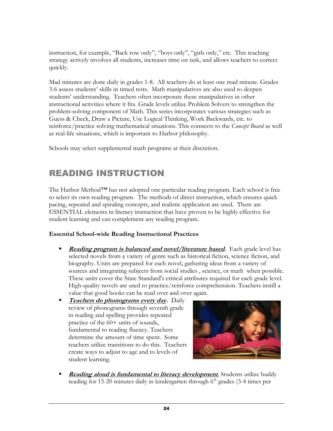instruction, for example, "Back row only", "boys only", "girls only," etc. This teaching strategy actively involves all students, increases time on task, and allows teachers to correct quickly.

Mad minutes are done daily in grades 1-8. All teachers do at least one mad minute. Grades 3-6 assess students' skills in timed tests. Math manipulatives are also used to deepen students' understanding. Teachers often incorporate these manipulatives in other instructional activities where it fits. Grade levels utilize Problem Solvers to strengthen the problem-solving component of Math. This series incorporates various strategies such as Guess & Check, Draw a Picture, Use Logical Thinking, Work Backwards, etc. to reinforce/practice solving mathematical situations. This connects to the *Concept Board* as well as real-life situations, which is important to Harbor philosophy*.*

Schools may select supplemental math programs at their discretion.

## READING INSTRUCTION

The Harbor Method*™* has not adopted one particular reading program. Each school is free to select its own reading program. The methods of direct instruction, which ensures quick pacing, repeated and spiraling concepts, and realistic application are used. There are ESSENTIAL elements in literacy instruction that have proven to be highly effective for student learning and can complement any reading program.

### **Essential School-wide Reading Instructional Practices**

- **Reading program is balanced and novel/literature based.** Each grade level has selected novels from a variety of genre such as historical fiction, science fiction, and biography. Units are prepared for each novel, gathering ideas from a variety of sources and integrating subjects from social studies , science, or math when possible. These units cover the State Standard's critical attributes required for each grade level. High-quality novels are used to practice/reinforce comprehension. Teachers instill a value that good books can be read over and over again.
- **Teachers do phonograms every day.** Daily review of phonograms through seventh grade in reading and spelling provides repeated practice of the 60+ units of sounds, fundamental to reading fluency. Teachers determine the amount of time spent. Some teachers utilize transitions to do this. Teachers create ways to adjust to age and to levels of student learning.



**Reading aloud is fundamental to literacy development**. Students utilize buddy reading for 15-20 minutes daily in kindergarten through  $6<sup>th</sup>$  grades (3-4 times per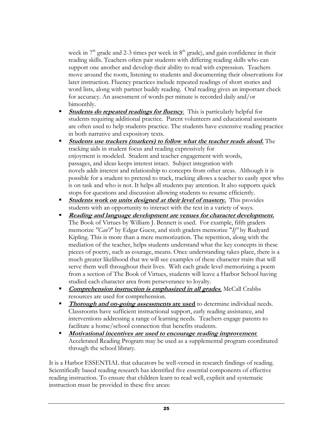week in  $7<sup>th</sup>$  grade and 2-3 times per week in  $8<sup>th</sup>$  grade), and gain confidence in their reading skills. Teachers often pair students with differing reading skills who can support one another and develop their ability to read with expression.Teachers move around the room, listening to students and documenting their observations for later instruction. Fluency practices include repeated readings of short stories and word lists, along with partner buddy reading. Oral reading gives an important check for accuracy. An assessment of words per minute is recorded daily and/or bimonthly.

- **Students do repeated readings for fluency.** This is particularly helpful for students requiring additional practice. Parent volunteers and educational assistants are often used to help students practice. The students have extensive reading practice in both narrative and expository texts.
- **Students use trackers (markers) to follow what the teacher reads aloud.** The tracking aids in student focus and reading expressively for enjoyment is modeled. Student and teacher engagement with words, passages, and ideas keeps interest intact. Subject integration with novels adds interest and relationship to concepts from other areas. Although it is possible for a student to pretend to track, tracking allows a teacher to easily spot who is on task and who is not. It helps all students pay attention. It also supports quick stops for questions and discussion allowing students to resume efficiently.
- **Students work on units designed at their level of mastery.** This provides students with an opportunity to interact with the text in a variety of ways.
- **Reading and language development are venues for character development.** The Book of Virtues by William J. Bennett is used. For example, fifth graders memorize *"Can't*" by Edgar Guest, and sixth graders memorize "*If"* by Rudyard Kipling. This is more than a mere memorization. The repetition, along with the mediation of the teacher, helps students understand what the key concepts in these pieces of poetry, such as courage, means. Once understanding takes place, there is a much greater likelihood that we will see examples of these character traits that will serve them well throughout their lives. With each grade level memorizing a poem from a section of The Book of Virtues, students will leave a Harbor School having studied each character area from perseverance to loyalty.
- **Comprehension instruction is emphasized in all grades.** McCall Crabbs resources are used for comprehension.
- **Thorough and on-going assessments are used** to determine individual needs. Classrooms have sufficient instructional support, early reading assistance, and interventions addressing a range of learning needs. Teachers engage parents to facilitate a home/school connection that benefits students.
- **Motivational incentives are used to encourage reading improvement**. Accelerated Reading Program may be used as a supplemental program coordinated through the school library.

It is a Harbor ESSENTIAL that educators be well-versed in research findings of reading. Scientifically based reading research has identified five essential components of effective reading instruction. To ensure that children learn to read well, explicit and systematic instruction must be provided in these five areas: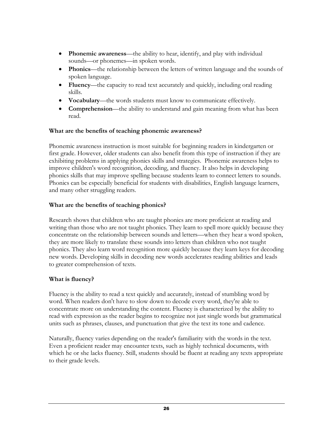- **Phonemic awareness**—the ability to hear, identify, and play with individual sounds—or phonemes—in spoken words.
- **Phonics**—the relationship between the letters of written language and the sounds of spoken language.
- **Fluency**—the capacity to read text accurately and quickly, including oral reading skills.
- **Vocabulary**—the words students must know to communicate effectively.
- **Comprehension**—the ability to understand and gain meaning from what has been read.

### **What are the benefits of teaching phonemic awareness?**

Phonemic awareness instruction is most suitable for beginning readers in kindergarten or first grade. However, older students can also benefit from this type of instruction if they are exhibiting problems in applying phonics skills and strategies. Phonemic awareness helps to improve children's word recognition, decoding, and fluency. It also helps in developing phonics skills that may improve spelling because students learn to connect letters to sounds. Phonics can be especially beneficial for students with disabilities, English language learners, and many other struggling readers.

### **What are the benefits of teaching phonics?**

Research shows that children who are taught phonics are more proficient at reading and writing than those who are not taught phonics. They learn to spell more quickly because they concentrate on the relationship between sounds and letters—when they hear a word spoken, they are more likely to translate these sounds into letters than children who not taught phonics. They also learn word recognition more quickly because they learn keys for decoding new words. Developing skills in decoding new words accelerates reading abilities and leads to greater comprehension of texts.

### **What is fluency?**

Fluency is the ability to read a text quickly and accurately, instead of stumbling word by word. When readers don't have to slow down to decode every word, they're able to concentrate more on understanding the content. Fluency is characterized by the ability to read with expression as the reader begins to recognize not just single words but grammatical units such as phrases, clauses, and punctuation that give the text its tone and cadence.

Naturally, fluency varies depending on the reader's familiarity with the words in the text. Even a proficient reader may encounter texts, such as highly technical documents, with which he or she lacks fluency. Still, students should be fluent at reading any texts appropriate to their grade levels.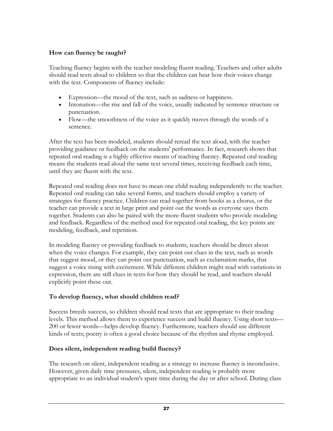### **How can fluency be taught?**

Teaching fluency begins with the teacher modeling fluent reading. Teachers and other adults should read texts aloud to children so that the children can hear how their voices change with the text. Components of fluency include:

- Expression—the mood of the text, such as sadness or happiness.
- Intonation—the rise and fall of the voice, usually indicated by sentence structure or punctuation.
- Flow—the smoothness of the voice as it quickly moves through the words of a sentence.

After the text has been modeled, students should reread the text aloud, with the teacher providing guidance or feedback on the students' performance. In fact, research shows that repeated oral reading is a highly effective means of teaching fluency. Repeated oral reading means the students read aloud the same text several times, receiving feedback each time, until they are fluent with the text.

Repeated oral reading does not have to mean one child reading independently to the teacher. Repeated oral reading can take several forms, and teachers should employ a variety of strategies for fluency practice. Children can read together from books as a chorus, or the teacher can provide a text in large print and point out the words as everyone says them together. Students can also be paired with the more-fluent students who provide modeling and feedback. Regardless of the method used for repeated oral reading, the key points are modeling, feedback, and repetition.

In modeling fluency or providing feedback to students, teachers should be direct about when the voice changes. For example, they can point out clues in the text, such as words that suggest mood, or they can point out punctuation, such as exclamation marks, that suggest a voice rising with excitement. While different children might read with variations in expression, there are still clues in texts for how they should be read, and teachers should explicitly point these out.

### **To develop fluency, what should children read?**

Success breeds success, so children should read texts that are appropriate to their reading levels. This method allows them to experience success and build fluency. Using short texts— 200 or fewer words—helps develop fluency. Furthermore, teachers should use different kinds of texts; poetry is often a good choice because of the rhythm and rhyme employed.

### **Does silent, independent reading build fluency?**

The research on silent, independent reading as a strategy to increase fluency is inconclusive. However, given daily time pressures, silent, independent reading is probably more appropriate to an individual student's spare time during the day or after school. During class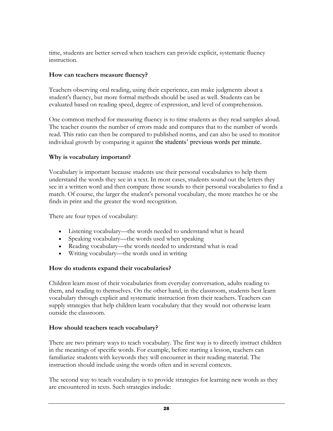time, students are better served when teachers can provide explicit, systematic fluency instruction.

### **How can teachers measure fluency?**

Teachers observing oral reading, using their experience, can make judgments about a student's fluency, but more formal methods should be used as well. Students can be evaluated based on reading speed, degree of expression, and level of comprehension.

One common method for measuring fluency is to time students as they read samples aloud. The teacher counts the number of errors made and compares that to the number of words read. This ratio can then be compared to published norms, and can also be used to monitor individual growth by comparing it against the students' previous words per minute.

### **Why is vocabulary important?**

Vocabulary is important because students use their personal vocabularies to help them understand the words they see in a text. In most cases, students sound out the letters they see in a written word and then compare those sounds to their personal vocabularies to find a match. Of course, the larger the student's personal vocabulary, the more matches he or she finds in print and the greater the word recognition.

There are four types of vocabulary:

- Listening vocabulary—the words needed to understand what is heard
- Speaking vocabulary—the words used when speaking
- Reading vocabulary—the words needed to understand what is read
- Writing vocabulary—the words used in writing

### **How do students expand their vocabularies?**

Children learn most of their vocabularies from everyday conversation, adults reading to them, and reading to themselves. On the other hand, in the classroom, students best learn vocabulary through explicit and systematic instruction from their teachers. Teachers can supply strategies that help children learn vocabulary that they would not otherwise learn outside the classroom.

### **How should teachers teach vocabulary?**

There are two primary ways to teach vocabulary. The first way is to directly instruct children in the meanings of specific words. For example, before starting a lesson, teachers can familiarize students with keywords they will encounter in their reading material. The instruction should include using the words often and in several contexts.

The second way to teach vocabulary is to provide strategies for learning new words as they are encountered in texts. Such strategies include: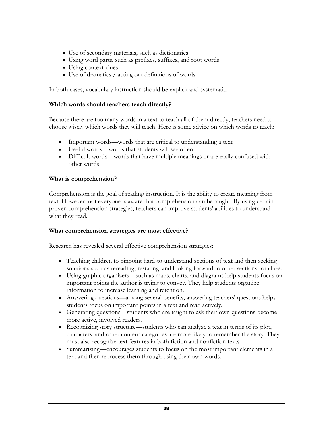- Use of secondary materials, such as dictionaries
- Using word parts, such as prefixes, suffixes, and root words
- Using context clues
- Use of dramatics / acting out definitions of words

In both cases, vocabulary instruction should be explicit and systematic.

### **Which words should teachers teach directly?**

Because there are too many words in a text to teach all of them directly, teachers need to choose wisely which words they will teach. Here is some advice on which words to teach:

- Important words—words that are critical to understanding a text
- Useful words—words that students will see often
- Difficult words—words that have multiple meanings or are easily confused with other words

### **What is comprehension?**

Comprehension is the goal of reading instruction. It is the ability to create meaning from text. However, not everyone is aware that comprehension can be taught. By using certain proven comprehension strategies, teachers can improve students' abilities to understand what they read.

### **What comprehension strategies are most effective?**

Research has revealed several effective comprehension strategies:

- Teaching children to pinpoint hard-to-understand sections of text and then seeking solutions such as rereading, restating, and looking forward to other sections for clues.
- Using graphic organizers—such as maps, charts, and diagrams help students focus on important points the author is trying to convey. They help students organize information to increase learning and retention.
- Answering questions—among several benefits, answering teachers' questions helps students focus on important points in a text and read actively.
- Generating questions—students who are taught to ask their own questions become more active, involved readers.
- Recognizing story structure—students who can analyze a text in terms of its plot, characters, and other content categories are more likely to remember the story. They must also recognize text features in both fiction and nonfiction texts.
- Summarizing—encourages students to focus on the most important elements in a text and then reprocess them through using their own words.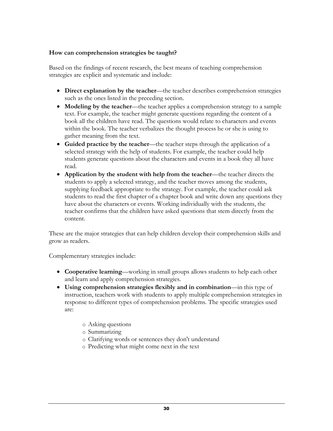### **How can comprehension strategies be taught?**

Based on the findings of recent research, the best means of teaching comprehension strategies are explicit and systematic and include:

- **Direct explanation by the teacher**—the teacher describes comprehension strategies such as the ones listed in the preceding section.
- **Modeling by the teacher**—the teacher applies a comprehension strategy to a sample text. For example, the teacher might generate questions regarding the content of a book all the children have read. The questions would relate to characters and events within the book. The teacher verbalizes the thought process he or she is using to gather meaning from the text.
- **Guided practice by the teacher**—the teacher steps through the application of a selected strategy with the help of students. For example, the teacher could help students generate questions about the characters and events in a book they all have read.
- **Application by the student with help from the teacher**—the teacher directs the students to apply a selected strategy, and the teacher moves among the students, supplying feedback appropriate to the strategy. For example, the teacher could ask students to read the first chapter of a chapter book and write down any questions they have about the characters or events. Working individually with the students, the teacher confirms that the children have asked questions that stem directly from the content.

These are the major strategies that can help children develop their comprehension skills and grow as readers.

Complementary strategies include:

- **Cooperative learning**—working in small groups allows students to help each other and learn and apply comprehension strategies.
- **Using comprehension strategies flexibly and in combination**—in this type of instruction, teachers work with students to apply multiple comprehension strategies in response to different types of comprehension problems. The specific strategies used are:
	- o Asking questions
	- o Summarizing
	- o Clarifying words or sentences they don't understand
	- o Predicting what might come next in the text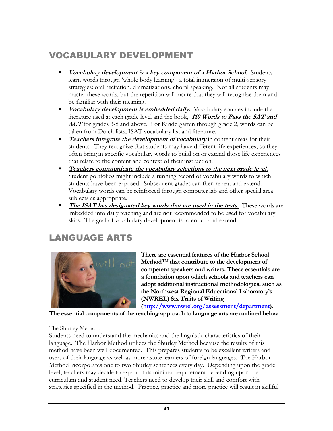# VOCABULARY DEVELOPMENT

- **Vocabulary development is a key component of a Harbor School.** Students learn words through 'whole body learning'- a total immersion of multi-sensory strategies: oral recitation, dramatizations, choral speaking. Not all students may master these words, but the repetition will insure that they will recognize them and be familiar with their meaning.
- **Vocabulary development is embedded daily.** Vocabulary sources include the literature used at each grade level and the book, **110 Words to Pass the SAT and ACT** for grades 3-8 and above. For Kindergarten through grade 2, words can be taken from Dolch lists, ISAT vocabulary list and literature.
- **Teachers integrate the development of vocabulary** in content areas for their students. They recognize that students may have different life experiences, so they often bring in specific vocabulary words to build on or extend those life experiences that relate to the content and context of their instruction.
- **Teachers communicate the vocabulary selections to the next grade level.** Student portfolios might include a running record of vocabulary words to which students have been exposed. Subsequent grades can then repeat and extend. Vocabulary words can be reinforced through computer lab and other special area subjects as appropriate.
- **The ISAT** has designated key words that are used in the tests. These words are imbedded into daily teaching and are not recommended to be used for vocabulary skits. The goal of vocabulary development is to enrich and extend.

# LANGUAGE ARTS



**There are essential features of the Harbor School Method***™* **that contribute to the development of competent speakers and writers. These essentials are a foundation upon which schools and teachers can adopt additional instructional methodologies, such as the Northwest Regional Educational Laboratory's (NWREL) Six Traits of Writing** 

**[\(http://www.nwrel.org/assessment/department\)](http://www.nwrel.org/assessment/department).** 

**The essential components of the teaching approach to language arts are outlined below.** 

### The Shurley Method:

Students need to understand the mechanics and the linguistic characteristics of their language. The Harbor Method utilizes the Shurley Method because the results of this method have been well-documented. This prepares students to be excellent writers and users of their language as well as more astute learners of foreign languages. The Harbor Method incorporates one to two Shurley sentences every day. Depending upon the grade level, teachers may decide to expand this minimal requirement depending upon the curriculum and student need. Teachers need to develop their skill and comfort with strategies specified in the method. Practice, practice and more practice will result in skillful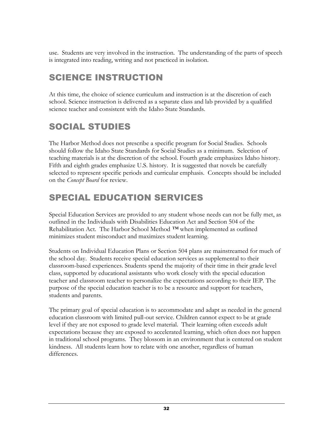use. Students are very involved in the instruction. The understanding of the parts of speech is integrated into reading, writing and not practiced in isolation.

# SCIENCE INSTRUCTION

At this time, the choice of science curriculum and instruction is at the discretion of each school. Science instruction is delivered as a separate class and lab provided by a qualified science teacher and consistent with the Idaho State Standards.

# SOCIAL STUDIES

The Harbor Method does not prescribe a specific program for Social Studies. Schools should follow the Idaho State Standards for Social Studies as a minimum. Selection of teaching materials is at the discretion of the school. Fourth grade emphasizes Idaho history. Fifth and eighth grades emphasize U.S. history. It is suggested that novels be carefully selected to represent specific periods and curricular emphasis. Concepts should be included on the *Concept Board* for review.

# SPECIAL EDUCATION SERVICES

Special Education Services are provided to any student whose needs can not be fully met, as outlined in the Individuals with Disabilities Education Act and Section 504 of the Rehabilitation Act. The Harbor School Method *™* when implemented as outlined minimizes student misconduct and maximizes student learning.

Students on Individual Education Plans or Section 504 plans are mainstreamed for much of the school day. Students receive special education services as supplemental to their classroom-based experiences. Students spend the majority of their time in their grade level class, supported by educational assistants who work closely with the special education teacher and classroom teacher to personalize the expectations according to their IEP. The purpose of the special education teacher is to be a resource and support for teachers, students and parents.

The primary goal of special education is to accommodate and adapt as needed in the general education classroom with limited pull-out service. Children cannot expect to be at grade level if they are not exposed to grade level material. Their learning often exceeds adult expectations because they are exposed to accelerated learning, which often does not happen in traditional school programs. They blossom in an environment that is centered on student kindness. All students learn how to relate with one another, regardless of human differences.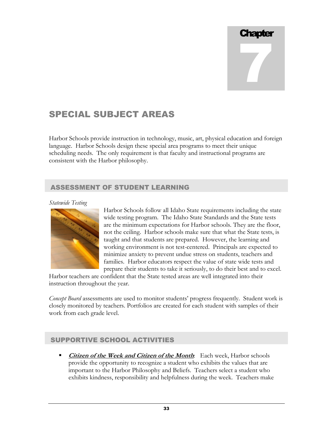# Chapter 7

# SPECIAL SUBJECT AREAS

Harbor Schools provide instruction in technology, music, art, physical education and foreign language. Harbor Schools design these special area programs to meet their unique scheduling needs. The only requirement is that faculty and instructional programs are consistent with the Harbor philosophy.

### ASSESSMENT OF STUDENT LEARNING

### *Statewide Testing*



Harbor Schools follow all Idaho State requirements including the state wide testing program. The Idaho State Standards and the State tests are the minimum expectations for Harbor schools. They are the floor, not the ceiling. Harbor schools make sure that what the State tests, is taught and that students are prepared. However, the learning and working environment is not test-centered. Principals are expected to minimize anxiety to prevent undue stress on students, teachers and families. Harbor educators respect the value of state wide tests and prepare their students to take it seriously, to do their best and to excel.

Harbor teachers are confident that the State tested areas are well integrated into their instruction throughout the year.

*Concept Board* assessments are used to monitor students' progress frequently. Student work is closely monitored by teachers. Portfolios are created for each student with samples of their work from each grade level.

### SUPPORTIVE SCHOOL ACTIVITIES

**Citizen of the Week and Citizen of the Month**: Each week, Harbor schools provide the opportunity to recognize a student who exhibits the values that are important to the Harbor Philosophy and Beliefs. Teachers select a student who exhibits kindness, responsibility and helpfulness during the week. Teachers make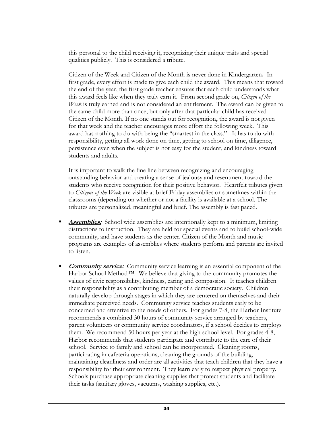this personal to the child receiving it, recognizing their unique traits and special qualities publicly. This is considered a tribute.

Citizen of the Week and Citizen of the Month is never done in Kindergarten**.** In first grade, every effort is made to give each child the award.This means that toward the end of the year, the first grade teacher ensures that each child understands what this award feels like when they truly earn it.From second grade on, *Citizen of the Week* is truly earned and is not considered an entitlement. The award can be given to the same child more than once, but only after that particular child has received Citizen of the Month. If no one stands out for recognition**,** the award is not given for that week and the teacher encourages more effort the following week. This award has nothing to do with being the "smartest in the class." It has to do with responsibility, getting all work done on time, getting to school on time, diligence, persistence even when the subject is not easy for the student, and kindness toward students and adults.

It is important to walk the fine line between recognizing and encouraging outstanding behavior and creating a sense of jealousy and resentment toward the students who receive recognition for their positive behavior. Heartfelt tributes given to *Citizens of the Week* are visible at brief Friday assemblies or sometimes within the classrooms (depending on whether or not a facility is available at a school. The tributes are personalized, meaningful and brief. The assembly is fast paced.

- **Assemblies:** School wide assemblies are intentionally kept to a minimum, limiting distractions to instruction. They are held for special events and to build school-wide community, and have students as the center. Citizen of the Month and music programs are examples of assemblies where students perform and parents are invited to listen.
- **Community service:** Community service learning is an essential component of the Harbor School Method*™*. We believe that giving to the community promotes the values of civic responsibility, kindness, caring and compassion. It teaches children their responsibility as a contributing member of a democratic society. Children naturally develop through stages in which they are centered on themselves and their immediate perceived needs. Community service teaches students early to be concerned and attentive to the needs of others. For grades 7-8, the Harbor Institute recommends a combined 30 hours of community service arranged by teachers, parent volunteers or community service coordinators, if a school decides to employs them. We recommend 50 hours per year at the high school level. For grades 4-8, Harbor recommends that students participate and contribute to the care of their school. Service to family and school can be incorporated. Cleaning rooms, participating in cafeteria operations, cleaning the grounds of the building, maintaining cleanliness and order are all activities that teach children that they have a responsibility for their environment. They learn early to respect physical property. Schools purchase appropriate cleaning supplies that protect students and facilitate their tasks (sanitary gloves, vacuums, washing supplies, etc.).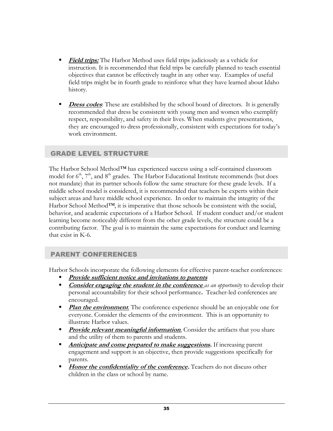- **Field trips:** The Harbor Method uses field trips judiciously as a vehicle for instruction. It is recommended that field trips be carefully planned to teach essential objectives that cannot be effectively taught in any other way. Examples of useful field trips might be in fourth grade to reinforce what they have learned about Idaho history.
- **Dress codes**: These are established by the school board of directors. It is generally recommended that dress be consistent with young men and women who exemplify respect, responsibility, and safety in their lives. When students give presentations, they are encouraged to dress professionally, consistent with expectations for today's work environment.

### GRADE LEVEL STRUCTURE

The Harbor School Method*™* has experienced success using a self-contained classroom model for  $6<sup>th</sup>$ ,  $7<sup>th</sup>$ , and  $8<sup>th</sup>$  grades. The Harbor Educational Institute recommends (but does not mandate) that its partner schools follow the same structure for these grade levels. If a middle school model is considered, it is recommended that teachers be experts within their subject areas and have middle school experience. In order to maintain the integrity of the Harbor School Method*™*, it is imperative that those schools be consistent with the social, behavior, and academic expectations of a Harbor School. If student conduct and/or student learning become noticeably different from the other grade levels, the structure could be a contributing factor. The goal is to maintain the same expectations for conduct and learning that exist in K-6.

### PARENT CONFERENCES

Harbor Schools incorporate the following elements for effective parent-teacher conferences:

- **Provide sufficient notice and invitations to parents**
- **Consider engaging the student in the conference** *as an opportunity* to develop their personal accountability for their school performance**.** Teacher-led conferences are encouraged.
- **Plan the environment**. The conference experience should be an enjoyable one for everyone. Consider the elements of the environment. This is an opportunity to illustrate Harbor values.
- **Provide relevant meaningful information**. Consider the artifacts that you share and the utility of them to parents and students.
- **Anticipate and come prepared to make suggestions.** If increasing parent engagement and support is an objective, then provide suggestions specifically for parents.
- **Honor the confidentiality of the conference.** Teachers do not discuss other children in the class or school by name.